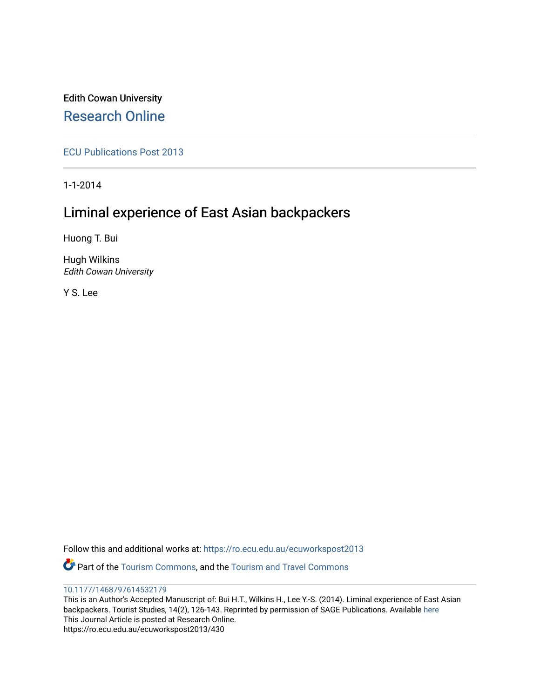Edith Cowan University [Research Online](https://ro.ecu.edu.au/) 

[ECU Publications Post 2013](https://ro.ecu.edu.au/ecuworkspost2013)

1-1-2014

# Liminal experience of East Asian backpackers

Huong T. Bui

Hugh Wilkins Edith Cowan University

Y S. Lee

Follow this and additional works at: [https://ro.ecu.edu.au/ecuworkspost2013](https://ro.ecu.edu.au/ecuworkspost2013?utm_source=ro.ecu.edu.au%2Fecuworkspost2013%2F430&utm_medium=PDF&utm_campaign=PDFCoverPages) 

**P** Part of the [Tourism Commons](http://network.bepress.com/hgg/discipline/1022?utm_source=ro.ecu.edu.au%2Fecuworkspost2013%2F430&utm_medium=PDF&utm_campaign=PDFCoverPages), and the Tourism and Travel Commons

#### [10.1177/1468797614532179](http://dx.doi.org/10.1177/1468797614532179)

This is an Author's Accepted Manuscript of: Bui H.T., Wilkins H., Lee Y.-S. (2014). Liminal experience of East Asian backpackers. Tourist Studies, 14(2), 126-143. Reprinted by permission of SAGE Publications. Available [here](http://dx.doi.org/10.1177/1468797614532179)  This Journal Article is posted at Research Online. https://ro.ecu.edu.au/ecuworkspost2013/430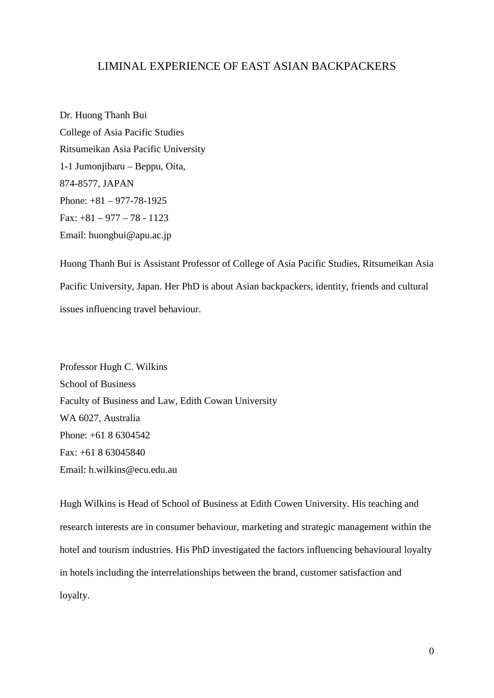# LIMINAL EXPERIENCE OF EAST ASIAN BACKPACKERS

Dr. Huong Thanh Bui College of Asia Pacific Studies Ritsumeikan Asia Pacific University 1-1 Jumonjibaru – Beppu, Oita, 874-8577, JAPAN Phone: +81 – 977-78-1925 Fax:  $+81 - 977 - 78 - 1123$ Email: huongbui@apu.ac.jp

Huong Thanh Bui is Assistant Professor of College of Asia Pacific Studies, Ritsumeikan Asia Pacific University, Japan. Her PhD is about Asian backpackers, identity, friends and cultural issues influencing travel behaviour.

Professor Hugh C. Wilkins School of Business Faculty of Business and Law, Edith Cowan University WA 6027, Australia Phone: +61 8 6304542 Fax: +61 8 63045840 Email: h.wilkins@ecu.edu.au

Hugh Wilkins is Head of School of Business at Edith Cowen University. His teaching and research interests are in consumer behaviour, marketing and strategic management within the hotel and tourism industries. His PhD investigated the factors influencing behavioural loyalty in hotels including the interrelationships between the brand, customer satisfaction and loyalty.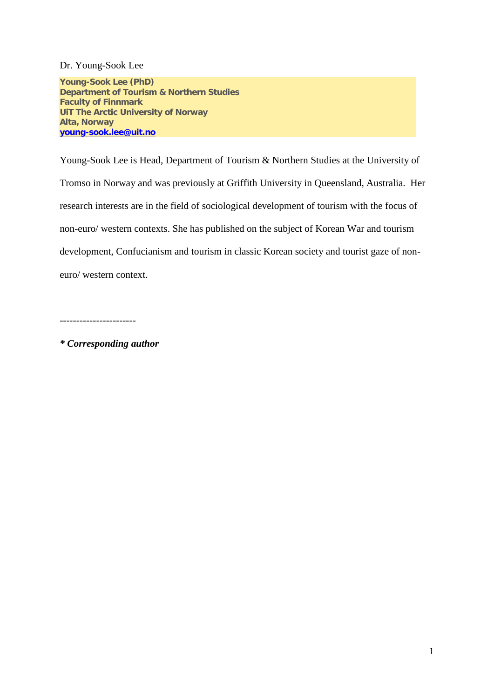# Dr. Young-Sook Lee

**Young-Sook Lee (PhD) Department of Tourism & Northern Studies Faculty of Finnmark UiT The Arctic University of Norway Alta, Norway [young-sook.lee@uit.no](mailto:young-sook.lee@uit.no)**

Young-Sook Lee is Head, Department of Tourism & Northern Studies at the University of Tromso in Norway and was previously at Griffith University in Queensland, Australia. Her research interests are in the field of sociological development of tourism with the focus of non-euro/ western contexts. She has published on the subject of Korean War and tourism development, Confucianism and tourism in classic Korean society and tourist gaze of noneuro/ western context.

-----------------------

*\* Corresponding author*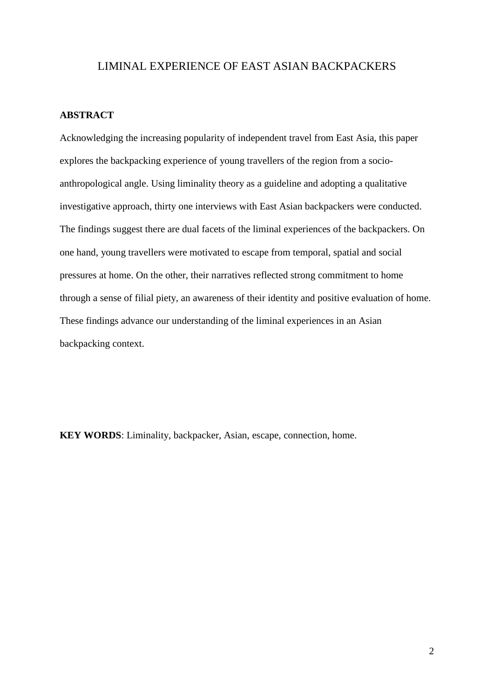# LIMINAL EXPERIENCE OF EAST ASIAN BACKPACKERS

# **ABSTRACT**

Acknowledging the increasing popularity of independent travel from East Asia, this paper explores the backpacking experience of young travellers of the region from a socioanthropological angle. Using liminality theory as a guideline and adopting a qualitative investigative approach, thirty one interviews with East Asian backpackers were conducted. The findings suggest there are dual facets of the liminal experiences of the backpackers. On one hand, young travellers were motivated to escape from temporal, spatial and social pressures at home. On the other, their narratives reflected strong commitment to home through a sense of filial piety, an awareness of their identity and positive evaluation of home. These findings advance our understanding of the liminal experiences in an Asian backpacking context.

**KEY WORDS**: Liminality, backpacker, Asian, escape, connection, home.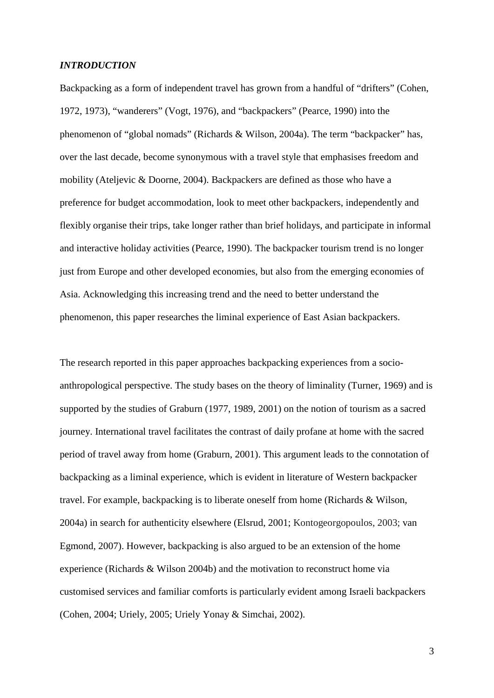#### *INTRODUCTION*

Backpacking as a form of independent travel has grown from a handful of "drifters" (Cohen, 1972, 1973), "wanderers" (Vogt, 1976), and "backpackers" (Pearce, 1990) into the phenomenon of "global nomads" (Richards & Wilson, 2004a). The term "backpacker" has, over the last decade, become synonymous with a travel style that emphasises freedom and mobility (Ateljevic & Doorne, 2004). Backpackers are defined as those who have a preference for budget accommodation, look to meet other backpackers, independently and flexibly organise their trips, take longer rather than brief holidays, and participate in informal and interactive holiday activities (Pearce, 1990). The backpacker tourism trend is no longer just from Europe and other developed economies, but also from the emerging economies of Asia. Acknowledging this increasing trend and the need to better understand the phenomenon, this paper researches the liminal experience of East Asian backpackers.

The research reported in this paper approaches backpacking experiences from a socioanthropological perspective. The study bases on the theory of liminality (Turner, 1969) and is supported by the studies of Graburn (1977, 1989, 2001) on the notion of tourism as a sacred journey. International travel facilitates the contrast of daily profane at home with the sacred period of travel away from home (Graburn, 2001). This argument leads to the connotation of backpacking as a liminal experience, which is evident in literature of Western backpacker travel. For example, backpacking is to liberate oneself from home (Richards & Wilson, 2004a) in search for authenticity elsewhere (Elsrud, 2001; Kontogeorgopoulos, 2003; van Egmond, 2007). However, backpacking is also argued to be an extension of the home experience (Richards & Wilson 2004b) and the motivation to reconstruct home via customised services and familiar comforts is particularly evident among Israeli backpackers (Cohen, 2004; Uriely, 2005; Uriely Yonay & Simchai, 2002).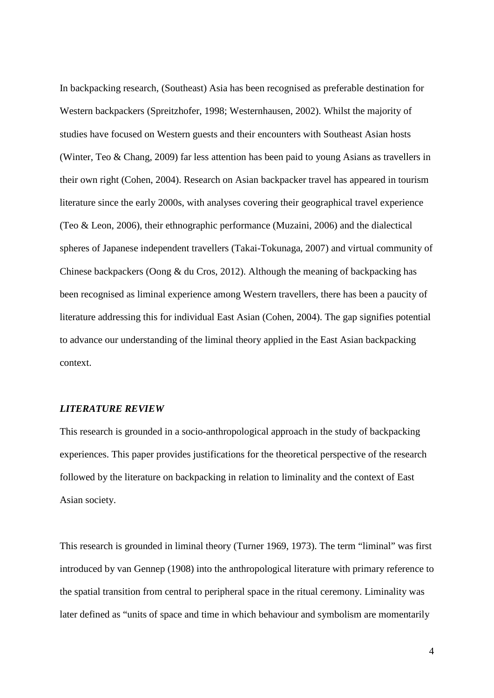In backpacking research, (Southeast) Asia has been recognised as preferable destination for Western backpackers (Spreitzhofer, 1998; Westernhausen, 2002). Whilst the majority of studies have focused on Western guests and their encounters with Southeast Asian hosts (Winter, Teo & Chang, 2009) far less attention has been paid to young Asians as travellers in their own right (Cohen, 2004). Research on Asian backpacker travel has appeared in tourism literature since the early 2000s, with analyses covering their geographical travel experience (Teo & Leon, 2006), their ethnographic performance (Muzaini, 2006) and the dialectical spheres of Japanese independent travellers (Takai-Tokunaga, 2007) and virtual community of Chinese backpackers (Oong & du Cros, 2012). Although the meaning of backpacking has been recognised as liminal experience among Western travellers, there has been a paucity of literature addressing this for individual East Asian (Cohen, 2004). The gap signifies potential to advance our understanding of the liminal theory applied in the East Asian backpacking context.

#### *LITERATURE REVIEW*

This research is grounded in a socio-anthropological approach in the study of backpacking experiences. This paper provides justifications for the theoretical perspective of the research followed by the literature on backpacking in relation to liminality and the context of East Asian society.

This research is grounded in liminal theory (Turner 1969, 1973). The term "liminal" was first introduced by van Gennep (1908) into the anthropological literature with primary reference to the spatial transition from central to peripheral space in the ritual ceremony. Liminality was later defined as "units of space and time in which behaviour and symbolism are momentarily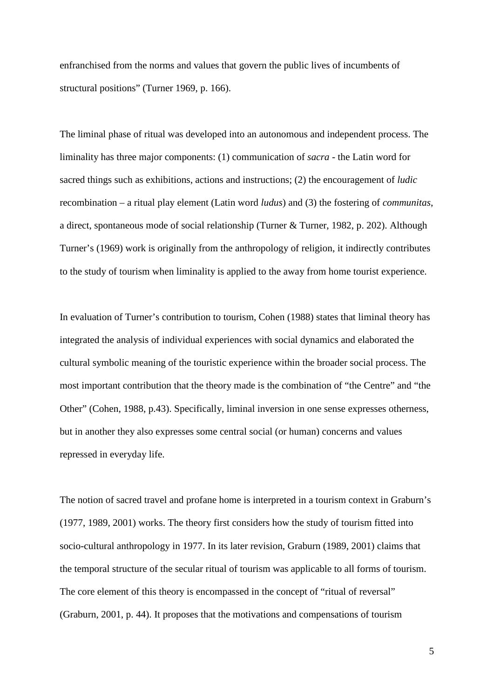enfranchised from the norms and values that govern the public lives of incumbents of structural positions" (Turner 1969, p. 166).

The liminal phase of ritual was developed into an autonomous and independent process. The liminality has three major components: (1) communication of *sacra -* the Latin word for sacred things such as exhibitions, actions and instructions; (2) the encouragement of *ludic* recombination – a ritual play element (Latin word *ludus*) and (3) the fostering of *communitas*, a direct, spontaneous mode of social relationship (Turner & Turner, 1982, p. 202). Although Turner's (1969) work is originally from the anthropology of religion, it indirectly contributes to the study of tourism when liminality is applied to the away from home tourist experience.

In evaluation of Turner's contribution to tourism, Cohen (1988) states that liminal theory has integrated the analysis of individual experiences with social dynamics and elaborated the cultural symbolic meaning of the touristic experience within the broader social process. The most important contribution that the theory made is the combination of "the Centre" and "the Other" (Cohen, 1988, p.43). Specifically, liminal inversion in one sense expresses otherness, but in another they also expresses some central social (or human) concerns and values repressed in everyday life.

The notion of sacred travel and profane home is interpreted in a tourism context in Graburn's (1977, 1989, 2001) works. The theory first considers how the study of tourism fitted into socio-cultural anthropology in 1977. In its later revision, Graburn (1989, 2001) claims that the temporal structure of the secular ritual of tourism was applicable to all forms of tourism. The core element of this theory is encompassed in the concept of "ritual of reversal" (Graburn, 2001, p. 44). It proposes that the motivations and compensations of tourism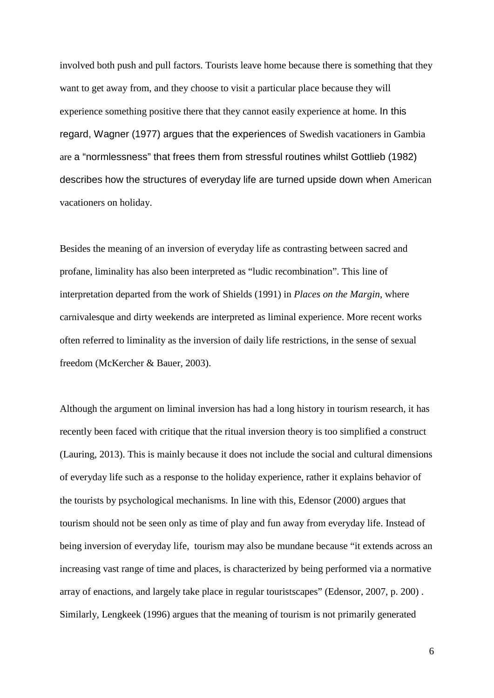involved both push and pull factors. Tourists leave home because there is something that they want to get away from, and they choose to visit a particular place because they will experience something positive there that they cannot easily experience at home. In this regard, Wagner (1977) argues that the experiences of Swedish vacationers in Gambia are a "normlessness" that frees them from stressful routines whilst Gottlieb (1982) describes how the structures of everyday life are turned upside down when American vacationers on holiday.

Besides the meaning of an inversion of everyday life as contrasting between sacred and profane, liminality has also been interpreted as "ludic recombination". This line of interpretation departed from the work of Shields (1991) in *Places on the Margin*, where carnivalesque and dirty weekends are interpreted as liminal experience. More recent works often referred to liminality as the inversion of daily life restrictions, in the sense of sexual freedom (McKercher & Bauer, 2003).

Although the argument on liminal inversion has had a long history in tourism research, it has recently been faced with critique that the ritual inversion theory is too simplified a construct (Lauring, 2013). This is mainly because it does not include the social and cultural dimensions of everyday life such as a response to the holiday experience, rather it explains behavior of the tourists by psychological mechanisms. In line with this, Edensor (2000) argues that tourism should not be seen only as time of play and fun away from everyday life. Instead of being inversion of everyday life, tourism may also be mundane because "it extends across an increasing vast range of time and places, is characterized by being performed via a normative array of enactions, and largely take place in regular touristscapes" (Edensor, 2007, p. 200) . Similarly, Lengkeek (1996) argues that the meaning of tourism is not primarily generated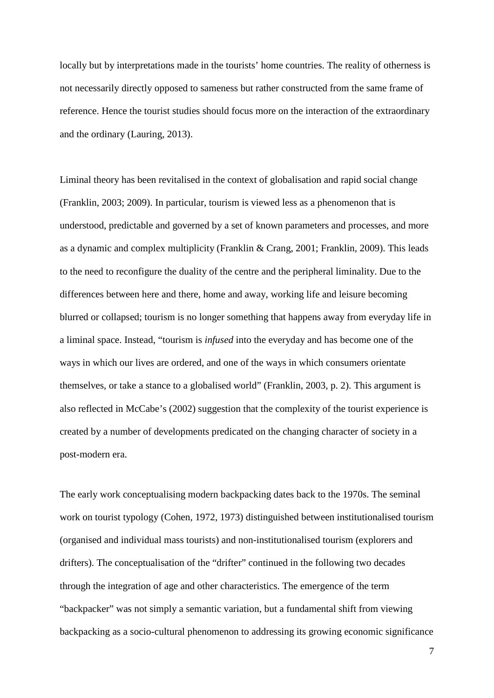locally but by interpretations made in the tourists' home countries. The reality of otherness is not necessarily directly opposed to sameness but rather constructed from the same frame of reference. Hence the tourist studies should focus more on the interaction of the extraordinary and the ordinary (Lauring, 2013).

Liminal theory has been revitalised in the context of globalisation and rapid social change (Franklin, 2003; 2009). In particular, tourism is viewed less as a phenomenon that is understood, predictable and governed by a set of known parameters and processes, and more as a dynamic and complex multiplicity (Franklin & Crang, 2001; Franklin, 2009). This leads to the need to reconfigure the duality of the centre and the peripheral liminality. Due to the differences between here and there, home and away, working life and leisure becoming blurred or collapsed; tourism is no longer something that happens away from everyday life in a liminal space. Instead, "tourism is *infused* into the everyday and has become one of the ways in which our lives are ordered, and one of the ways in which consumers orientate themselves, or take a stance to a globalised world" (Franklin, 2003, p. 2). This argument is also reflected in McCabe's (2002) suggestion that the complexity of the tourist experience is created by a number of developments predicated on the changing character of society in a post-modern era.

The early work conceptualising modern backpacking dates back to the 1970s. The seminal work on tourist typology (Cohen, 1972, 1973) distinguished between institutionalised tourism (organised and individual mass tourists) and non-institutionalised tourism (explorers and drifters). The conceptualisation of the "drifter" continued in the following two decades through the integration of age and other characteristics. The emergence of the term "backpacker" was not simply a semantic variation, but a fundamental shift from viewing backpacking as a socio-cultural phenomenon to addressing its growing economic significance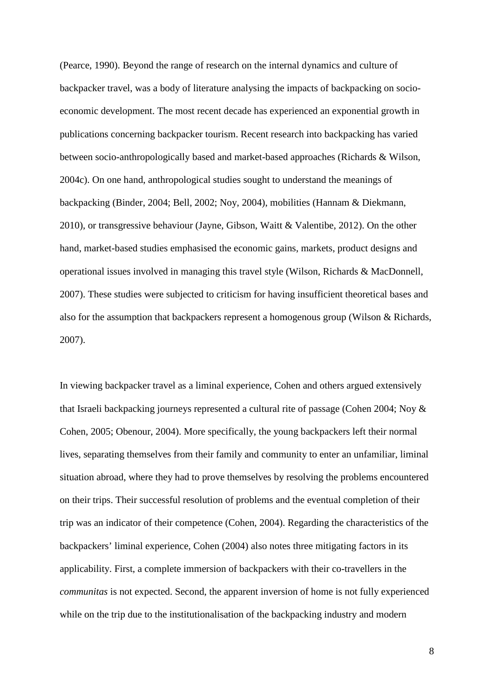(Pearce, 1990). Beyond the range of research on the internal dynamics and culture of backpacker travel, was a body of literature analysing the impacts of backpacking on socioeconomic development. The most recent decade has experienced an exponential growth in publications concerning backpacker tourism. Recent research into backpacking has varied between socio-anthropologically based and market-based approaches (Richards & Wilson, 2004c). On one hand, anthropological studies sought to understand the meanings of backpacking (Binder, 2004; Bell, 2002; Noy, 2004), mobilities (Hannam & Diekmann, 2010), or transgressive behaviour (Jayne, Gibson, Waitt & Valentibe, 2012). On the other hand, market-based studies emphasised the economic gains, markets, product designs and operational issues involved in managing this travel style (Wilson, Richards & MacDonnell, 2007). These studies were subjected to criticism for having insufficient theoretical bases and also for the assumption that backpackers represent a homogenous group (Wilson & Richards, 2007).

In viewing backpacker travel as a liminal experience, Cohen and others argued extensively that Israeli backpacking journeys represented a cultural rite of passage (Cohen 2004; Noy & Cohen, 2005; Obenour, 2004). More specifically, the young backpackers left their normal lives, separating themselves from their family and community to enter an unfamiliar, liminal situation abroad, where they had to prove themselves by resolving the problems encountered on their trips. Their successful resolution of problems and the eventual completion of their trip was an indicator of their competence (Cohen, 2004). Regarding the characteristics of the backpackers' liminal experience, Cohen (2004) also notes three mitigating factors in its applicability. First, a complete immersion of backpackers with their co-travellers in the *communitas* is not expected. Second, the apparent inversion of home is not fully experienced while on the trip due to the institutionalisation of the backpacking industry and modern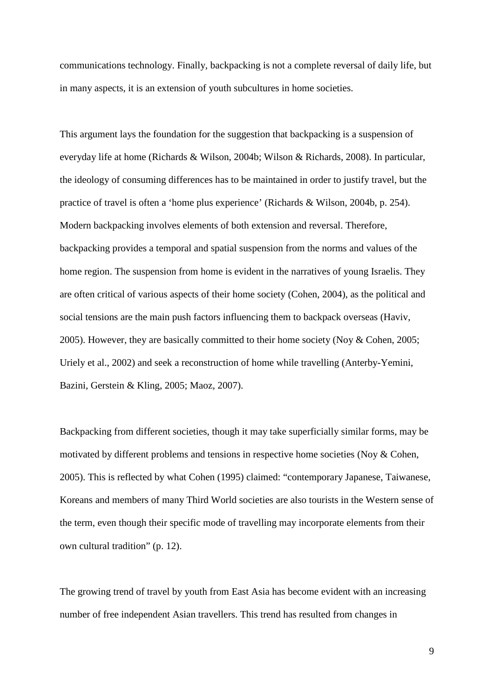communications technology. Finally, backpacking is not a complete reversal of daily life, but in many aspects, it is an extension of youth subcultures in home societies.

This argument lays the foundation for the suggestion that backpacking is a suspension of everyday life at home (Richards & Wilson, 2004b; Wilson & Richards, 2008). In particular, the ideology of consuming differences has to be maintained in order to justify travel, but the practice of travel is often a 'home plus experience' (Richards & Wilson, 2004b, p. 254). Modern backpacking involves elements of both extension and reversal. Therefore, backpacking provides a temporal and spatial suspension from the norms and values of the home region. The suspension from home is evident in the narratives of young Israelis. They are often critical of various aspects of their home society (Cohen, 2004), as the political and social tensions are the main push factors influencing them to backpack overseas (Haviv, 2005). However, they are basically committed to their home society (Noy & Cohen, 2005; Uriely et al., 2002) and seek a reconstruction of home while travelling (Anterby-Yemini, Bazini, Gerstein & Kling, 2005; Maoz, 2007).

Backpacking from different societies, though it may take superficially similar forms, may be motivated by different problems and tensions in respective home societies (Noy & Cohen, 2005). This is reflected by what Cohen (1995) claimed: "contemporary Japanese, Taiwanese, Koreans and members of many Third World societies are also tourists in the Western sense of the term, even though their specific mode of travelling may incorporate elements from their own cultural tradition" (p. 12).

The growing trend of travel by youth from East Asia has become evident with an increasing number of free independent Asian travellers. This trend has resulted from changes in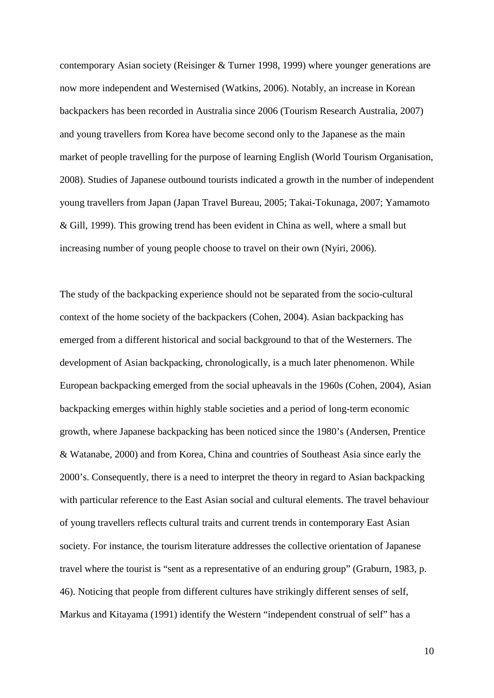contemporary Asian society (Reisinger & Turner 1998, 1999) where younger generations are now more independent and Westernised (Watkins, 2006). Notably, an increase in Korean backpackers has been recorded in Australia since 2006 (Tourism Research Australia, 2007) and young travellers from Korea have become second only to the Japanese as the main market of people travelling for the purpose of learning English (World Tourism Organisation, 2008). Studies of Japanese outbound tourists indicated a growth in the number of independent young travellers from Japan (Japan Travel Bureau, 2005; Takai-Tokunaga, 2007; Yamamoto & Gill, 1999). This growing trend has been evident in China as well, where a small but increasing number of young people choose to travel on their own (Nyiri, 2006).

The study of the backpacking experience should not be separated from the socio-cultural context of the home society of the backpackers (Cohen, 2004). Asian backpacking has emerged from a different historical and social background to that of the Westerners. The development of Asian backpacking, chronologically, is a much later phenomenon. While European backpacking emerged from the social upheavals in the 1960s (Cohen, 2004), Asian backpacking emerges within highly stable societies and a period of long-term economic growth, where Japanese backpacking has been noticed since the 1980's (Andersen, Prentice & Watanabe, 2000) and from Korea, China and countries of Southeast Asia since early the 2000's. Consequently, there is a need to interpret the theory in regard to Asian backpacking with particular reference to the East Asian social and cultural elements. The travel behaviour of young travellers reflects cultural traits and current trends in contemporary East Asian society. For instance, the tourism literature addresses the collective orientation of Japanese travel where the tourist is "sent as a representative of an enduring group" (Graburn, 1983, p. 46). Noticing that people from different cultures have strikingly different senses of self, Markus and Kitayama (1991) identify the Western "independent construal of self" has a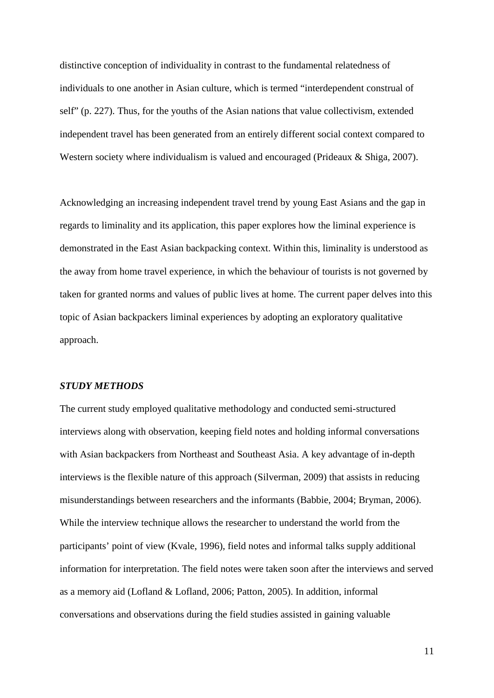distinctive conception of individuality in contrast to the fundamental relatedness of individuals to one another in Asian culture, which is termed "interdependent construal of self" (p. 227). Thus, for the youths of the Asian nations that value collectivism, extended independent travel has been generated from an entirely different social context compared to Western society where individualism is valued and encouraged (Prideaux & Shiga, 2007).

Acknowledging an increasing independent travel trend by young East Asians and the gap in regards to liminality and its application, this paper explores how the liminal experience is demonstrated in the East Asian backpacking context. Within this, liminality is understood as the away from home travel experience, in which the behaviour of tourists is not governed by taken for granted norms and values of public lives at home. The current paper delves into this topic of Asian backpackers liminal experiences by adopting an exploratory qualitative approach.

#### *STUDY METHODS*

The current study employed qualitative methodology and conducted semi-structured interviews along with observation, keeping field notes and holding informal conversations with Asian backpackers from Northeast and Southeast Asia. A key advantage of in-depth interviews is the flexible nature of this approach (Silverman, 2009) that assists in reducing misunderstandings between researchers and the informants (Babbie, 2004; Bryman, 2006). While the interview technique allows the researcher to understand the world from the participants' point of view (Kvale, 1996), field notes and informal talks supply additional information for interpretation. The field notes were taken soon after the interviews and served as a memory aid (Lofland & Lofland, 2006; Patton, 2005). In addition, informal conversations and observations during the field studies assisted in gaining valuable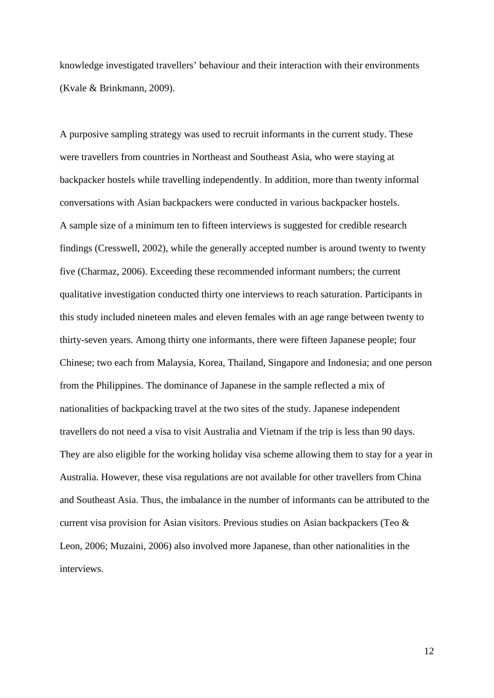knowledge investigated travellers' behaviour and their interaction with their environments (Kvale & Brinkmann, 2009).

A purposive sampling strategy was used to recruit informants in the current study. These were travellers from countries in Northeast and Southeast Asia, who were staying at backpacker hostels while travelling independently. In addition, more than twenty informal conversations with Asian backpackers were conducted in various backpacker hostels. A sample size of a minimum ten to fifteen interviews is suggested for credible research findings (Cresswell, 2002), while the generally accepted number is around twenty to twenty five (Charmaz, 2006). Exceeding these recommended informant numbers; the current qualitative investigation conducted thirty one interviews to reach saturation. Participants in this study included nineteen males and eleven females with an age range between twenty to thirty-seven years. Among thirty one informants, there were fifteen Japanese people; four Chinese; two each from Malaysia, Korea, Thailand, Singapore and Indonesia; and one person from the Philippines. The dominance of Japanese in the sample reflected a mix of nationalities of backpacking travel at the two sites of the study. Japanese independent travellers do not need a visa to visit Australia and Vietnam if the trip is less than 90 days. They are also eligible for the working holiday visa scheme allowing them to stay for a year in Australia. However, these visa regulations are not available for other travellers from China and Southeast Asia. Thus, the imbalance in the number of informants can be attributed to the current visa provision for Asian visitors. Previous studies on Asian backpackers (Teo & Leon, 2006; Muzaini, 2006) also involved more Japanese, than other nationalities in the interviews.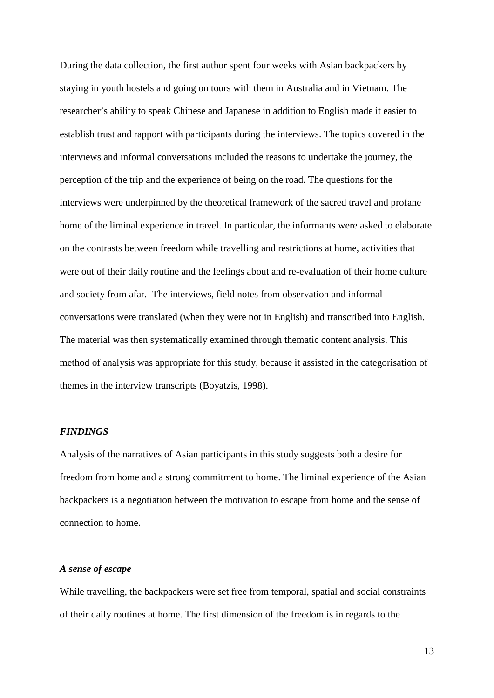During the data collection, the first author spent four weeks with Asian backpackers by staying in youth hostels and going on tours with them in Australia and in Vietnam. The researcher's ability to speak Chinese and Japanese in addition to English made it easier to establish trust and rapport with participants during the interviews. The topics covered in the interviews and informal conversations included the reasons to undertake the journey, the perception of the trip and the experience of being on the road. The questions for the interviews were underpinned by the theoretical framework of the sacred travel and profane home of the liminal experience in travel. In particular, the informants were asked to elaborate on the contrasts between freedom while travelling and restrictions at home, activities that were out of their daily routine and the feelings about and re-evaluation of their home culture and society from afar. The interviews, field notes from observation and informal conversations were translated (when they were not in English) and transcribed into English. The material was then systematically examined through thematic content analysis. This method of analysis was appropriate for this study, because it assisted in the categorisation of themes in the interview transcripts (Boyatzis, 1998).

# *FINDINGS*

Analysis of the narratives of Asian participants in this study suggests both a desire for freedom from home and a strong commitment to home. The liminal experience of the Asian backpackers is a negotiation between the motivation to escape from home and the sense of connection to home.

# *A sense of escape*

While travelling, the backpackers were set free from temporal, spatial and social constraints of their daily routines at home. The first dimension of the freedom is in regards to the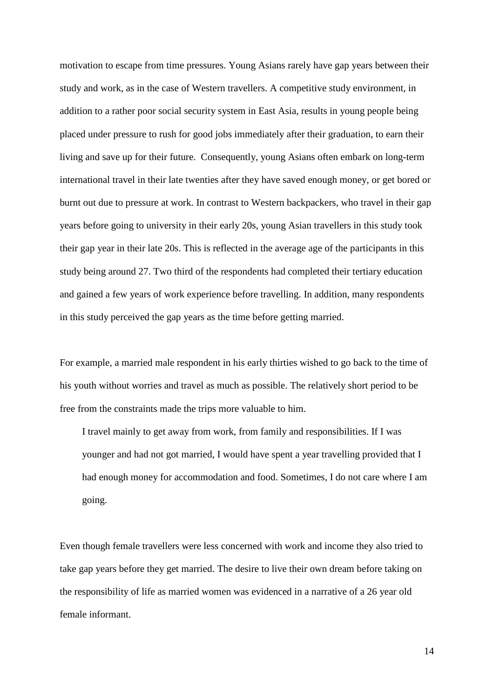motivation to escape from time pressures. Young Asians rarely have gap years between their study and work, as in the case of Western travellers. A competitive study environment, in addition to a rather poor social security system in East Asia, results in young people being placed under pressure to rush for good jobs immediately after their graduation, to earn their living and save up for their future. Consequently, young Asians often embark on long-term international travel in their late twenties after they have saved enough money, or get bored or burnt out due to pressure at work. In contrast to Western backpackers, who travel in their gap years before going to university in their early 20s, young Asian travellers in this study took their gap year in their late 20s. This is reflected in the average age of the participants in this study being around 27. Two third of the respondents had completed their tertiary education and gained a few years of work experience before travelling. In addition, many respondents in this study perceived the gap years as the time before getting married.

For example, a married male respondent in his early thirties wished to go back to the time of his youth without worries and travel as much as possible. The relatively short period to be free from the constraints made the trips more valuable to him.

I travel mainly to get away from work, from family and responsibilities. If I was younger and had not got married, I would have spent a year travelling provided that I had enough money for accommodation and food. Sometimes, I do not care where I am going.

Even though female travellers were less concerned with work and income they also tried to take gap years before they get married. The desire to live their own dream before taking on the responsibility of life as married women was evidenced in a narrative of a 26 year old female informant.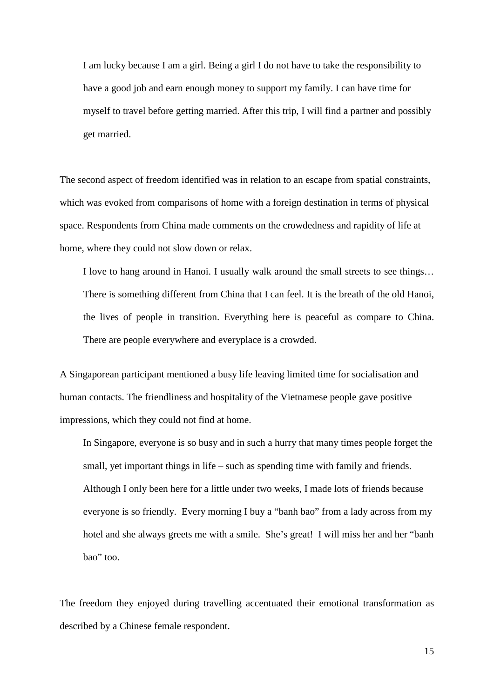I am lucky because I am a girl. Being a girl I do not have to take the responsibility to have a good job and earn enough money to support my family. I can have time for myself to travel before getting married. After this trip, I will find a partner and possibly get married.

The second aspect of freedom identified was in relation to an escape from spatial constraints, which was evoked from comparisons of home with a foreign destination in terms of physical space. Respondents from China made comments on the crowdedness and rapidity of life at home, where they could not slow down or relax.

I love to hang around in Hanoi. I usually walk around the small streets to see things… There is something different from China that I can feel. It is the breath of the old Hanoi, the lives of people in transition. Everything here is peaceful as compare to China. There are people everywhere and everyplace is a crowded.

A Singaporean participant mentioned a busy life leaving limited time for socialisation and human contacts. The friendliness and hospitality of the Vietnamese people gave positive impressions, which they could not find at home.

In Singapore, everyone is so busy and in such a hurry that many times people forget the small, yet important things in life – such as spending time with family and friends. Although I only been here for a little under two weeks, I made lots of friends because everyone is so friendly. Every morning I buy a "banh bao" from a lady across from my hotel and she always greets me with a smile. She's great! I will miss her and her "banh bao" too.

The freedom they enjoyed during travelling accentuated their emotional transformation as described by a Chinese female respondent.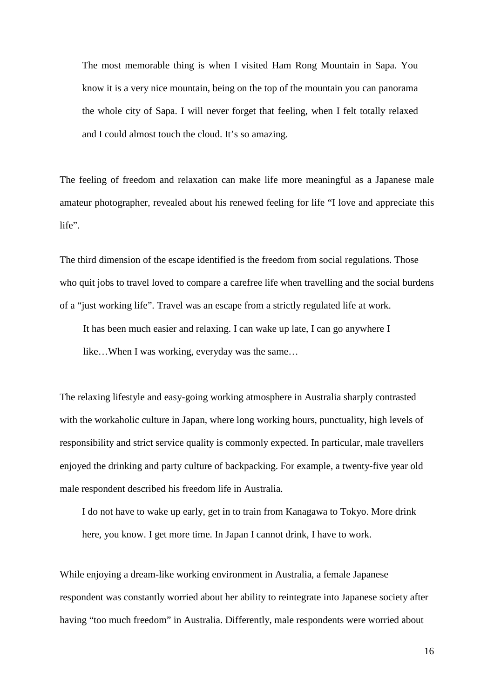The most memorable thing is when I visited Ham Rong Mountain in Sapa. You know it is a very nice mountain, being on the top of the mountain you can panorama the whole city of Sapa. I will never forget that feeling, when I felt totally relaxed and I could almost touch the cloud. It's so amazing.

The feeling of freedom and relaxation can make life more meaningful as a Japanese male amateur photographer, revealed about his renewed feeling for life "I love and appreciate this life".

The third dimension of the escape identified is the freedom from social regulations. Those who quit jobs to travel loved to compare a carefree life when travelling and the social burdens of a "just working life". Travel was an escape from a strictly regulated life at work.

It has been much easier and relaxing. I can wake up late, I can go anywhere I like…When I was working, everyday was the same…

The relaxing lifestyle and easy-going working atmosphere in Australia sharply contrasted with the workaholic culture in Japan, where long working hours, punctuality, high levels of responsibility and strict service quality is commonly expected. In particular, male travellers enjoyed the drinking and party culture of backpacking. For example, a twenty-five year old male respondent described his freedom life in Australia.

I do not have to wake up early, get in to train from Kanagawa to Tokyo. More drink here, you know. I get more time. In Japan I cannot drink, I have to work.

While enjoying a dream-like working environment in Australia, a female Japanese respondent was constantly worried about her ability to reintegrate into Japanese society after having "too much freedom" in Australia. Differently, male respondents were worried about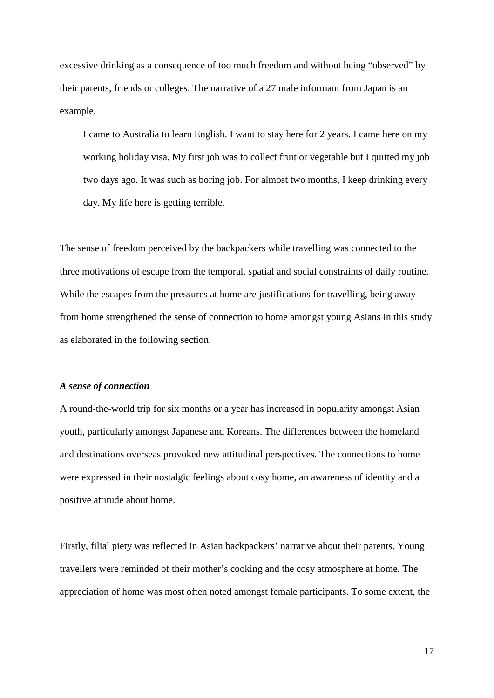excessive drinking as a consequence of too much freedom and without being "observed" by their parents, friends or colleges. The narrative of a 27 male informant from Japan is an example.

I came to Australia to learn English. I want to stay here for 2 years. I came here on my working holiday visa. My first job was to collect fruit or vegetable but I quitted my job two days ago. It was such as boring job. For almost two months, I keep drinking every day. My life here is getting terrible.

The sense of freedom perceived by the backpackers while travelling was connected to the three motivations of escape from the temporal, spatial and social constraints of daily routine. While the escapes from the pressures at home are justifications for travelling, being away from home strengthened the sense of connection to home amongst young Asians in this study as elaborated in the following section.

#### *A sense of connection*

A round-the-world trip for six months or a year has increased in popularity amongst Asian youth, particularly amongst Japanese and Koreans. The differences between the homeland and destinations overseas provoked new attitudinal perspectives. The connections to home were expressed in their nostalgic feelings about cosy home, an awareness of identity and a positive attitude about home.

Firstly, filial piety was reflected in Asian backpackers' narrative about their parents. Young travellers were reminded of their mother's cooking and the cosy atmosphere at home. The appreciation of home was most often noted amongst female participants. To some extent, the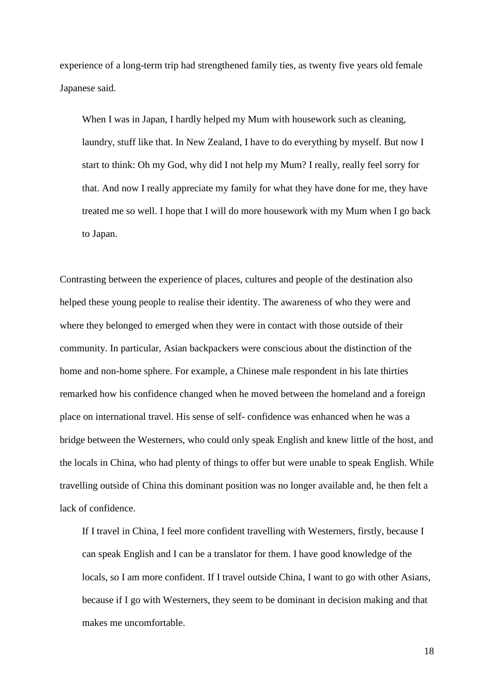experience of a long-term trip had strengthened family ties, as twenty five years old female Japanese said.

When I was in Japan, I hardly helped my Mum with housework such as cleaning, laundry, stuff like that. In New Zealand, I have to do everything by myself. But now I start to think: Oh my God, why did I not help my Mum? I really, really feel sorry for that. And now I really appreciate my family for what they have done for me, they have treated me so well. I hope that I will do more housework with my Mum when I go back to Japan.

Contrasting between the experience of places, cultures and people of the destination also helped these young people to realise their identity. The awareness of who they were and where they belonged to emerged when they were in contact with those outside of their community. In particular, Asian backpackers were conscious about the distinction of the home and non-home sphere. For example, a Chinese male respondent in his late thirties remarked how his confidence changed when he moved between the homeland and a foreign place on international travel. His sense of self- confidence was enhanced when he was a bridge between the Westerners, who could only speak English and knew little of the host, and the locals in China, who had plenty of things to offer but were unable to speak English. While travelling outside of China this dominant position was no longer available and, he then felt a lack of confidence.

If I travel in China, I feel more confident travelling with Westerners, firstly, because I can speak English and I can be a translator for them. I have good knowledge of the locals, so I am more confident. If I travel outside China, I want to go with other Asians, because if I go with Westerners, they seem to be dominant in decision making and that makes me uncomfortable.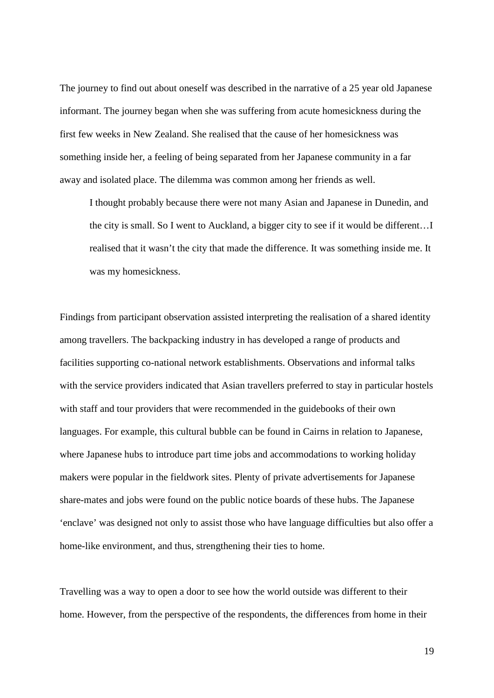The journey to find out about oneself was described in the narrative of a 25 year old Japanese informant. The journey began when she was suffering from acute homesickness during the first few weeks in New Zealand. She realised that the cause of her homesickness was something inside her, a feeling of being separated from her Japanese community in a far away and isolated place. The dilemma was common among her friends as well.

I thought probably because there were not many Asian and Japanese in Dunedin, and the city is small. So I went to Auckland, a bigger city to see if it would be different…I realised that it wasn't the city that made the difference. It was something inside me. It was my homesickness.

Findings from participant observation assisted interpreting the realisation of a shared identity among travellers. The backpacking industry in has developed a range of products and facilities supporting co-national network establishments. Observations and informal talks with the service providers indicated that Asian travellers preferred to stay in particular hostels with staff and tour providers that were recommended in the guidebooks of their own languages. For example, this cultural bubble can be found in Cairns in relation to Japanese, where Japanese hubs to introduce part time jobs and accommodations to working holiday makers were popular in the fieldwork sites. Plenty of private advertisements for Japanese share-mates and jobs were found on the public notice boards of these hubs. The Japanese 'enclave' was designed not only to assist those who have language difficulties but also offer a home-like environment, and thus, strengthening their ties to home.

Travelling was a way to open a door to see how the world outside was different to their home. However, from the perspective of the respondents, the differences from home in their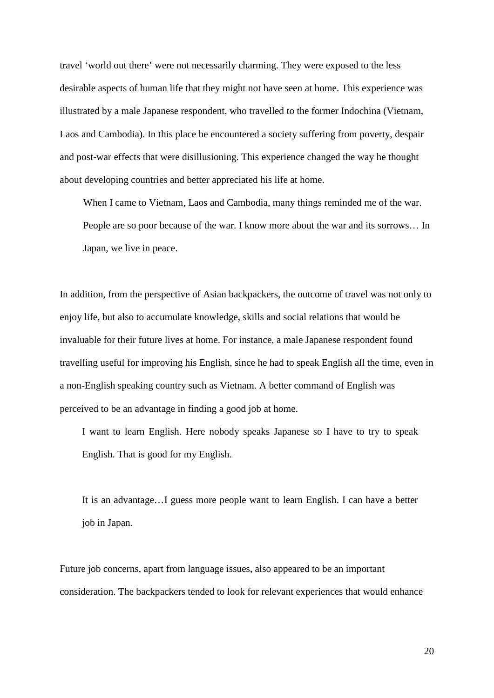travel 'world out there' were not necessarily charming. They were exposed to the less desirable aspects of human life that they might not have seen at home. This experience was illustrated by a male Japanese respondent, who travelled to the former Indochina (Vietnam, Laos and Cambodia). In this place he encountered a society suffering from poverty, despair and post-war effects that were disillusioning. This experience changed the way he thought about developing countries and better appreciated his life at home.

When I came to Vietnam, Laos and Cambodia, many things reminded me of the war. People are so poor because of the war. I know more about the war and its sorrows… In Japan, we live in peace.

In addition, from the perspective of Asian backpackers, the outcome of travel was not only to enjoy life, but also to accumulate knowledge, skills and social relations that would be invaluable for their future lives at home. For instance, a male Japanese respondent found travelling useful for improving his English, since he had to speak English all the time, even in a non-English speaking country such as Vietnam. A better command of English was perceived to be an advantage in finding a good job at home.

I want to learn English. Here nobody speaks Japanese so I have to try to speak English. That is good for my English.

It is an advantage…I guess more people want to learn English. I can have a better job in Japan.

Future job concerns, apart from language issues, also appeared to be an important consideration. The backpackers tended to look for relevant experiences that would enhance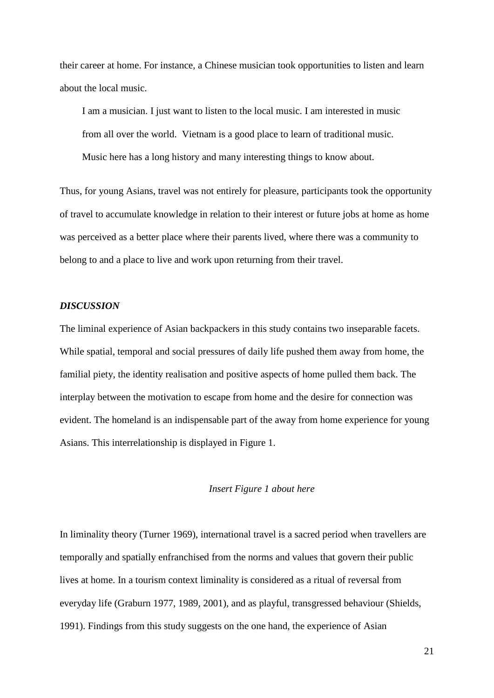their career at home. For instance, a Chinese musician took opportunities to listen and learn about the local music.

I am a musician. I just want to listen to the local music. I am interested in music from all over the world. Vietnam is a good place to learn of traditional music. Music here has a long history and many interesting things to know about.

Thus, for young Asians, travel was not entirely for pleasure, participants took the opportunity of travel to accumulate knowledge in relation to their interest or future jobs at home as home was perceived as a better place where their parents lived, where there was a community to belong to and a place to live and work upon returning from their travel.

## *DISCUSSION*

The liminal experience of Asian backpackers in this study contains two inseparable facets. While spatial, temporal and social pressures of daily life pushed them away from home, the familial piety, the identity realisation and positive aspects of home pulled them back. The interplay between the motivation to escape from home and the desire for connection was evident. The homeland is an indispensable part of the away from home experience for young Asians. This interrelationship is displayed in Figure 1.

## *Insert Figure 1 about here*

In liminality theory (Turner 1969), international travel is a sacred period when travellers are temporally and spatially enfranchised from the norms and values that govern their public lives at home. In a tourism context liminality is considered as a ritual of reversal from everyday life (Graburn 1977, 1989, 2001), and as playful, transgressed behaviour (Shields, 1991). Findings from this study suggests on the one hand, the experience of Asian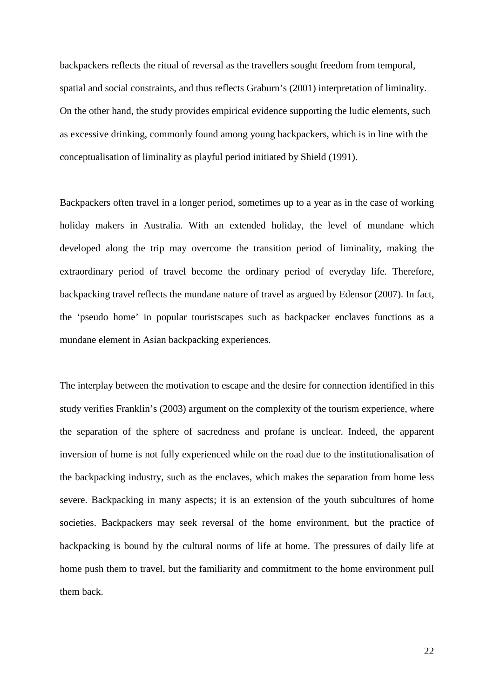backpackers reflects the ritual of reversal as the travellers sought freedom from temporal, spatial and social constraints, and thus reflects Graburn's (2001) interpretation of liminality. On the other hand, the study provides empirical evidence supporting the ludic elements, such as excessive drinking, commonly found among young backpackers, which is in line with the conceptualisation of liminality as playful period initiated by Shield (1991).

Backpackers often travel in a longer period, sometimes up to a year as in the case of working holiday makers in Australia. With an extended holiday, the level of mundane which developed along the trip may overcome the transition period of liminality, making the extraordinary period of travel become the ordinary period of everyday life. Therefore, backpacking travel reflects the mundane nature of travel as argued by Edensor (2007). In fact, the 'pseudo home' in popular touristscapes such as backpacker enclaves functions as a mundane element in Asian backpacking experiences.

The interplay between the motivation to escape and the desire for connection identified in this study verifies Franklin's (2003) argument on the complexity of the tourism experience, where the separation of the sphere of sacredness and profane is unclear. Indeed, the apparent inversion of home is not fully experienced while on the road due to the institutionalisation of the backpacking industry, such as the enclaves, which makes the separation from home less severe. Backpacking in many aspects; it is an extension of the youth subcultures of home societies. Backpackers may seek reversal of the home environment, but the practice of backpacking is bound by the cultural norms of life at home. The pressures of daily life at home push them to travel, but the familiarity and commitment to the home environment pull them back.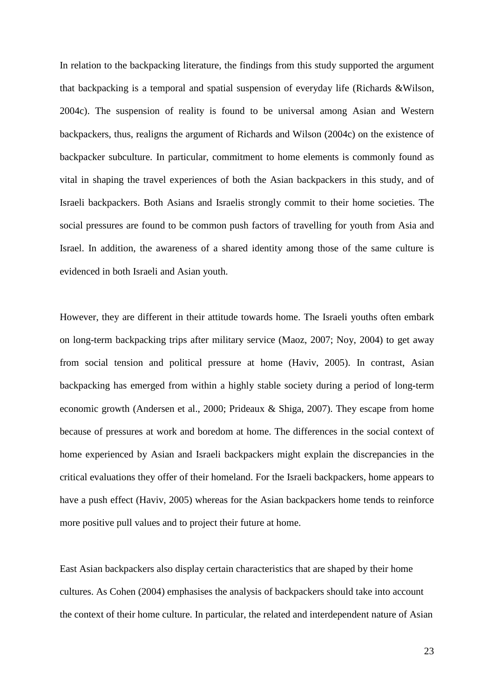In relation to the backpacking literature, the findings from this study supported the argument that backpacking is a temporal and spatial suspension of everyday life (Richards &Wilson, 2004c). The suspension of reality is found to be universal among Asian and Western backpackers, thus, realigns the argument of Richards and Wilson (2004c) on the existence of backpacker subculture. In particular, commitment to home elements is commonly found as vital in shaping the travel experiences of both the Asian backpackers in this study, and of Israeli backpackers. Both Asians and Israelis strongly commit to their home societies. The social pressures are found to be common push factors of travelling for youth from Asia and Israel. In addition, the awareness of a shared identity among those of the same culture is evidenced in both Israeli and Asian youth.

However, they are different in their attitude towards home. The Israeli youths often embark on long-term backpacking trips after military service (Maoz, 2007; Noy, 2004) to get away from social tension and political pressure at home (Haviv, 2005). In contrast, Asian backpacking has emerged from within a highly stable society during a period of long-term economic growth (Andersen et al., 2000; Prideaux & Shiga, 2007). They escape from home because of pressures at work and boredom at home. The differences in the social context of home experienced by Asian and Israeli backpackers might explain the discrepancies in the critical evaluations they offer of their homeland. For the Israeli backpackers, home appears to have a push effect (Haviv, 2005) whereas for the Asian backpackers home tends to reinforce more positive pull values and to project their future at home.

East Asian backpackers also display certain characteristics that are shaped by their home cultures. As Cohen (2004) emphasises the analysis of backpackers should take into account the context of their home culture. In particular, the related and interdependent nature of Asian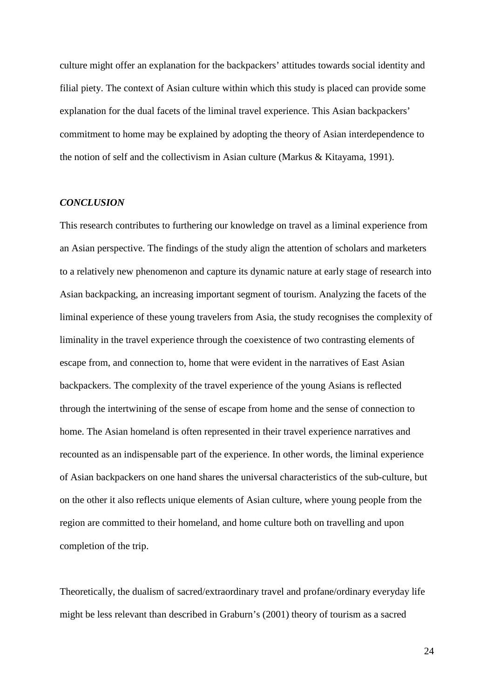culture might offer an explanation for the backpackers' attitudes towards social identity and filial piety. The context of Asian culture within which this study is placed can provide some explanation for the dual facets of the liminal travel experience. This Asian backpackers' commitment to home may be explained by adopting the theory of Asian interdependence to the notion of self and the collectivism in Asian culture (Markus & Kitayama, 1991).

#### *CONCLUSION*

This research contributes to furthering our knowledge on travel as a liminal experience from an Asian perspective. The findings of the study align the attention of scholars and marketers to a relatively new phenomenon and capture its dynamic nature at early stage of research into Asian backpacking, an increasing important segment of tourism. Analyzing the facets of the liminal experience of these young travelers from Asia, the study recognises the complexity of liminality in the travel experience through the coexistence of two contrasting elements of escape from, and connection to, home that were evident in the narratives of East Asian backpackers. The complexity of the travel experience of the young Asians is reflected through the intertwining of the sense of escape from home and the sense of connection to home. The Asian homeland is often represented in their travel experience narratives and recounted as an indispensable part of the experience. In other words, the liminal experience of Asian backpackers on one hand shares the universal characteristics of the sub-culture, but on the other it also reflects unique elements of Asian culture, where young people from the region are committed to their homeland, and home culture both on travelling and upon completion of the trip.

Theoretically, the dualism of sacred/extraordinary travel and profane/ordinary everyday life might be less relevant than described in Graburn's (2001) theory of tourism as a sacred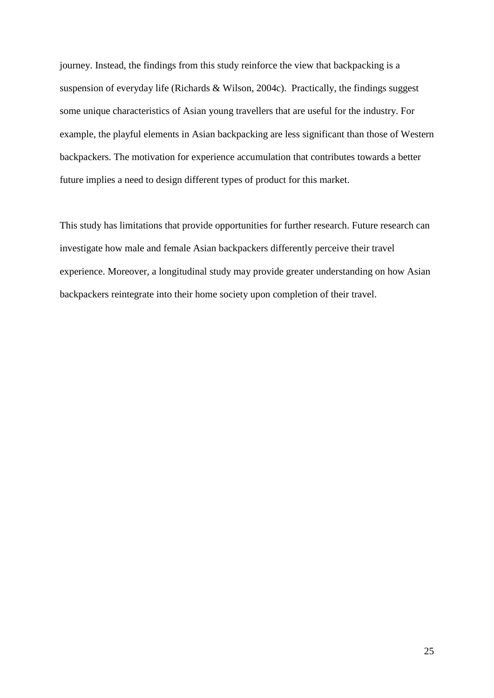journey. Instead, the findings from this study reinforce the view that backpacking is a suspension of everyday life (Richards & Wilson, 2004c). Practically, the findings suggest some unique characteristics of Asian young travellers that are useful for the industry. For example, the playful elements in Asian backpacking are less significant than those of Western backpackers. The motivation for experience accumulation that contributes towards a better future implies a need to design different types of product for this market.

This study has limitations that provide opportunities for further research. Future research can investigate how male and female Asian backpackers differently perceive their travel experience. Moreover, a longitudinal study may provide greater understanding on how Asian backpackers reintegrate into their home society upon completion of their travel.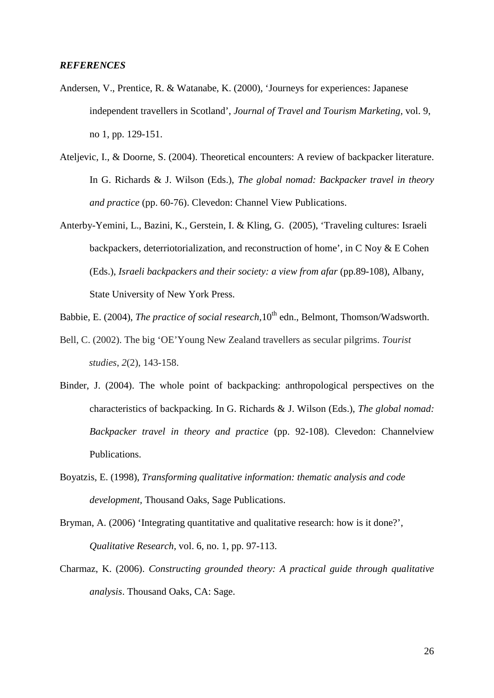#### *REFERENCES*

- Andersen, V., Prentice, R. & Watanabe, K. (2000), 'Journeys for experiences: Japanese independent travellers in Scotland', *Journal of Travel and Tourism Marketing,* vol. 9, no 1, pp. 129-151.
- Ateljevic, I., & Doorne, S. (2004). Theoretical encounters: A review of backpacker literature. In G. Richards & J. Wilson (Eds.), *The global nomad: Backpacker travel in theory and practice* (pp. 60-76). Clevedon: Channel View Publications.
- Anterby-Yemini, L., Bazini, K., Gerstein, I. & Kling, G. (2005), 'Traveling cultures: Israeli backpackers, deterriotorialization, and reconstruction of home', in C Noy & E Cohen (Eds.), *Israeli backpackers and their society: a view from afar* (pp.89-108), Albany, State University of New York Press.
- Babbie, E. (2004), *The practice of social research*, 10<sup>th</sup> edn., Belmont, Thomson/Wadsworth.
- Bell, C. (2002). The big 'OE'Young New Zealand travellers as secular pilgrims. *Tourist studies*, *2*(2), 143-158.
- Binder, J. (2004). The whole point of backpacking: anthropological perspectives on the characteristics of backpacking. In G. Richards & J. Wilson (Eds.), *The global nomad: Backpacker travel in theory and practice* (pp. 92-108). Clevedon: Channelview Publications.
- Boyatzis, E. (1998), *Transforming qualitative information: thematic analysis and code development,* Thousand Oaks, Sage Publications.
- Bryman, A. (2006) 'Integrating quantitative and qualitative research: how is it done?', *Qualitative Research,* vol. 6, no. 1, pp. 97-113.
- Charmaz, K. (2006). *Constructing grounded theory: A practical guide through qualitative analysis*. Thousand Oaks, CA: Sage.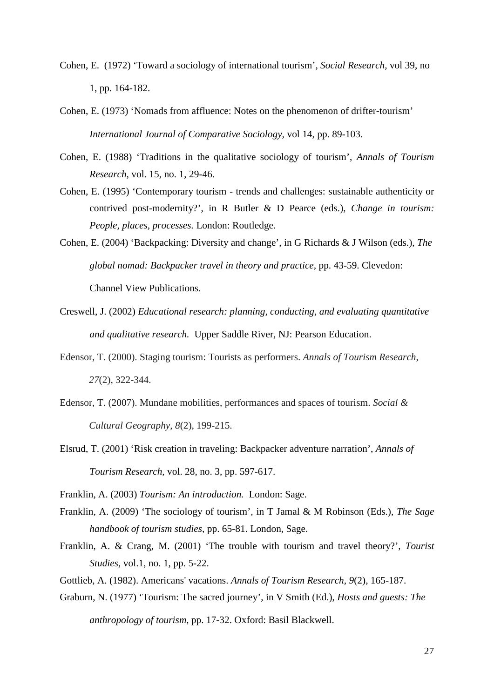- Cohen, E. (1972) 'Toward a sociology of international tourism', *Social Research,* vol 39, no 1, pp. 164-182.
- Cohen, E. (1973) 'Nomads from affluence: Notes on the phenomenon of drifter-tourism' *International Journal of Comparative Sociology,* vol 14, pp. 89-103.
- Cohen, E. (1988) 'Traditions in the qualitative sociology of tourism', *Annals of Tourism Research,* vol. 15, no. 1, 29-46.
- Cohen, E. (1995) 'Contemporary tourism trends and challenges: sustainable authenticity or contrived post-modernity?', in R Butler & D Pearce (eds.), *Change in tourism: People, places, processes.* London: Routledge.
- Cohen, E. (2004) 'Backpacking: Diversity and change', in G Richards & J Wilson (eds.), *The global nomad: Backpacker travel in theory and practice,* pp. 43-59. Clevedon: Channel View Publications.
- Creswell, J. (2002) *Educational research: planning, conducting, and evaluating quantitative and qualitative research.* Upper Saddle River, NJ: Pearson Education.
- Edensor, T. (2000). Staging tourism: Tourists as performers. *Annals of Tourism Research*, *27*(2), 322-344.
- Edensor, T. (2007). Mundane mobilities, performances and spaces of tourism. *Social & Cultural Geography*, *8*(2), 199-215.
- Elsrud, T. (2001) 'Risk creation in traveling: Backpacker adventure narration', *Annals of Tourism Research,* vol. 28, no. 3, pp. 597-617.
- Franklin, A. (2003) *Tourism: An introduction.* London: Sage.
- Franklin, A. (2009) 'The sociology of tourism', in T Jamal & M Robinson (Eds.), *The Sage handbook of tourism studies,* pp. 65-81. London, Sage.
- Franklin, A. & Crang, M. (2001) 'The trouble with tourism and travel theory?', *Tourist Studies,* vol.1, no. 1, pp. 5-22.
- Gottlieb, A. (1982). Americans' vacations. *Annals of Tourism Research, 9*(2), 165-187.
- Graburn, N. (1977) 'Tourism: The sacred journey', in V Smith (Ed.), *Hosts and guests: The*

*anthropology of tourism,* pp. 17-32. Oxford: Basil Blackwell.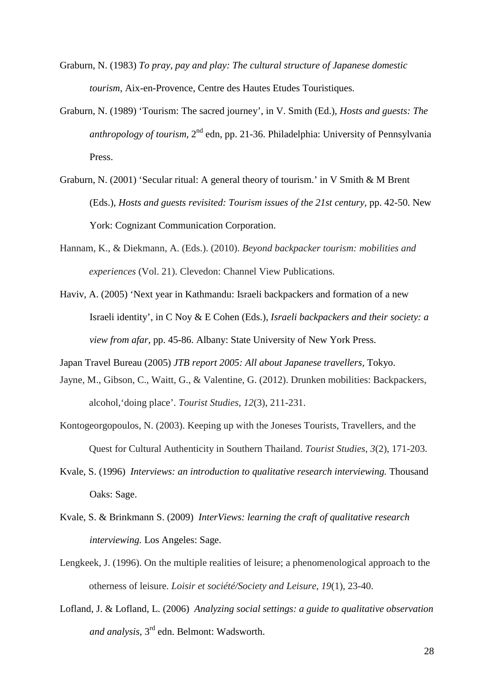- Graburn, N. (1983) *To pray, pay and play: The cultural structure of Japanese domestic tourism,* Aix-en-Provence, Centre des Hautes Etudes Touristiques.
- Graburn, N. (1989) 'Tourism: The sacred journey', in V. Smith (Ed.), *Hosts and guests: The anthropology of tourism*,  $2<sup>nd</sup>$  edn, pp. 21-36. Philadelphia: University of Pennsylvania Press.
- Graburn, N. (2001) 'Secular ritual: A general theory of tourism.' in V Smith & M Brent (Eds.), *Hosts and guests revisited: Tourism issues of the 21st century,* pp. 42-50. New York: Cognizant Communication Corporation.
- Hannam, K., & Diekmann, A. (Eds.). (2010). *Beyond backpacker tourism: mobilities and experiences* (Vol. 21). Clevedon: Channel View Publications.
- Haviv, A. (2005) 'Next year in Kathmandu: Israeli backpackers and formation of a new Israeli identity', in C Noy & E Cohen (Eds.), *Israeli backpackers and their society: a view from afar,* pp. 45-86. Albany: State University of New York Press.
- Japan Travel Bureau (2005) *JTB report 2005: All about Japanese travellers,* Tokyo.
- Jayne, M., Gibson, C., Waitt, G., & Valentine, G. (2012). Drunken mobilities: Backpackers, alcohol,'doing place'. *Tourist Studies*, *12*(3), 211-231.
- Kontogeorgopoulos, N. (2003). Keeping up with the Joneses Tourists, Travellers, and the Quest for Cultural Authenticity in Southern Thailand. *Tourist Studies*, *3*(2), 171-203.
- Kvale, S. (1996) *Interviews: an introduction to qualitative research interviewing.* Thousand Oaks: Sage.
- Kvale, S. & Brinkmann S. (2009) *InterViews: learning the craft of qualitative research interviewing.* Los Angeles: Sage.
- Lengkeek, J. (1996). On the multiple realities of leisure; a phenomenological approach to the otherness of leisure. *Loisir et société/Society and Leisure*, *19*(1), 23-40.
- Lofland, J. & Lofland, L. (2006) *Analyzing social settings: a guide to qualitative observation and analysis,* 3rd edn. Belmont: Wadsworth.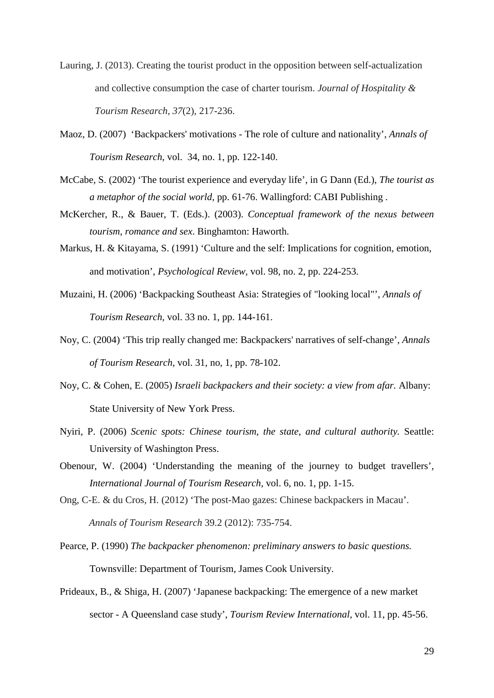Lauring, J. (2013). Creating the tourist product in the opposition between self-actualization and collective consumption the case of charter tourism. *Journal of Hospitality & Tourism Research*, *37*(2), 217-236.

- Maoz, D. (2007) 'Backpackers' motivations The role of culture and nationality', *Annals of Tourism Research*, vol. 34, no. 1, pp. 122-140.
- McCabe, S. (2002) 'The tourist experience and everyday life', in G Dann (Ed.), *The tourist as a metaphor of the social world,* pp. 61-76. Wallingford: CABI Publishing .
- McKercher, R., & Bauer, T. (Eds.). (2003). *Conceptual framework of the nexus between tourism, romance and sex*. Binghamton: Haworth.
- Markus, H. & Kitayama, S. (1991) 'Culture and the self: Implications for cognition, emotion, and motivation', *Psychological Review,* vol. 98, no. 2, pp. 224-253.
- Muzaini, H. (2006) 'Backpacking Southeast Asia: Strategies of "looking local"', *Annals of Tourism Research,* vol. 33 no. 1, pp. 144-161.
- Noy, C. (2004) 'This trip really changed me: Backpackers' narratives of self-change', *Annals of Tourism Research,* vol. 31, no, 1, pp. 78-102.
- Noy, C. & Cohen, E. (2005) *Israeli backpackers and their society: a view from afar.* Albany: State University of New York Press.
- Nyiri, P. (2006) *Scenic spots: Chinese tourism, the state, and cultural authority.* Seattle: University of Washington Press.
- Obenour, W. (2004) 'Understanding the meaning of the journey to budget travellers', *International Journal of Tourism Research,* vol. 6, no. 1, pp. 1-15.
- Ong, C-E. & du Cros, H. (2012) 'The post-Mao gazes: Chinese backpackers in Macau'. *Annals of Tourism Research* 39.2 (2012): 735-754.
- Pearce, P. (1990) *The backpacker phenomenon: preliminary answers to basic questions.* Townsville: Department of Tourism, James Cook University.
- Prideaux, B., & Shiga, H. (2007) 'Japanese backpacking: The emergence of a new market sector - A Queensland case study', *Tourism Review International,* vol. 11, pp. 45-56.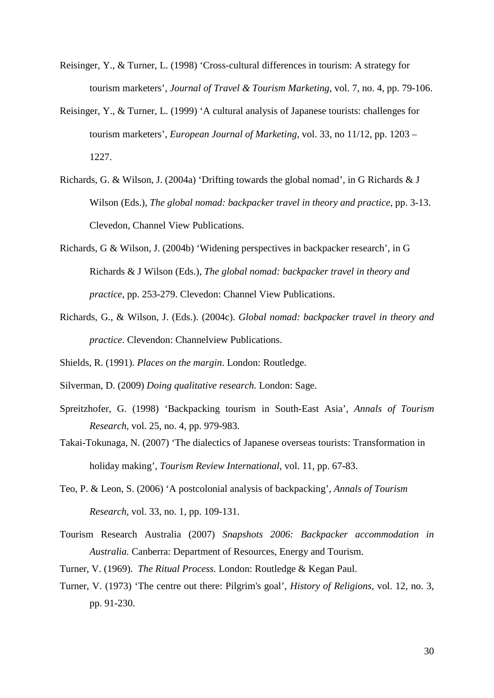- Reisinger, Y., & Turner, L. (1998) 'Cross-cultural differences in tourism: A strategy for tourism marketers', *Journal of Travel & Tourism Marketing,* vol. 7, no. 4, pp. 79-106.
- Reisinger, Y., & Turner, L. (1999) 'A cultural analysis of Japanese tourists: challenges for tourism marketers', *European Journal of Marketing,* vol. 33, no 11/12, pp. 1203 – 1227.
- Richards, G. & Wilson, J. (2004a) 'Drifting towards the global nomad', in G Richards & J Wilson (Eds.), *The global nomad: backpacker travel in theory and practice,* pp. 3-13. Clevedon, Channel View Publications.
- Richards, G & Wilson, J. (2004b) 'Widening perspectives in backpacker research', in G Richards & J Wilson (Eds.), *The global nomad: backpacker travel in theory and practice,* pp. 253-279. Clevedon: Channel View Publications.
- Richards, G., & Wilson, J. (Eds.). (2004c). *Global nomad: backpacker travel in theory and practice*. Clevendon: Channelview Publications.
- Shields, R. (1991). *Places on the margin*. London: Routledge.
- Silverman, D. (2009) *Doing qualitative research.* London: Sage.
- Spreitzhofer, G. (1998) 'Backpacking tourism in South-East Asia', *Annals of Tourism Research,* vol. 25, no. 4, pp. 979-983.
- Takai-Tokunaga, N. (2007) 'The dialectics of Japanese overseas tourists: Transformation in holiday making', *Tourism Review International,* vol. 11, pp. 67-83.
- Teo, P. & Leon, S. (2006) 'A postcolonial analysis of backpacking', *Annals of Tourism Research,* vol. 33, no. 1, pp. 109-131.
- Tourism Research Australia (2007) *Snapshots 2006: Backpacker accommodation in Australia.* Canberra: Department of Resources, Energy and Tourism.
- Turner, V. (1969). *The Ritual Process.* London: Routledge & Kegan Paul.
- Turner, V. (1973) 'The centre out there: Pilgrim's goal', *History of Religions,* vol. 12, no. 3, pp. 91-230.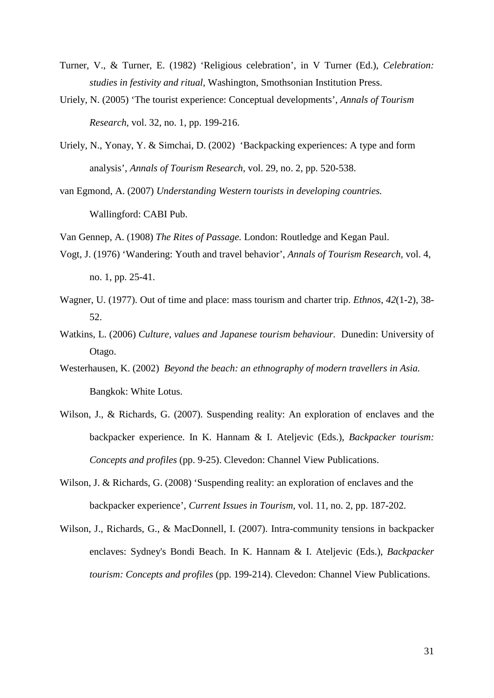- Turner, V., & Turner, E. (1982) 'Religious celebration', in V Turner (Ed.), *Celebration: studies in festivity and ritual,* Washington, Smothsonian Institution Press.
- Uriely, N. (2005) 'The tourist experience: Conceptual developments', *Annals of Tourism Research,* vol. 32, no. 1, pp. 199-216.
- Uriely, N., Yonay, Y. & Simchai, D. (2002) 'Backpacking experiences: A type and form analysis', *Annals of Tourism Research,* vol. 29, no. 2, pp. 520-538.
- van Egmond, A. (2007) *Understanding Western tourists in developing countries.*  Wallingford: CABI Pub.

Van Gennep, A. (1908) *The Rites of Passage.* London: Routledge and Kegan Paul.

- Vogt, J. (1976) 'Wandering: Youth and travel behavior', *Annals of Tourism Research,* vol. 4, no. 1, pp. 25-41.
- Wagner, U. (1977). Out of time and place: mass tourism and charter trip. *Ethnos, 42*(1-2), 38- 52.
- Watkins, L. (2006) *Culture, values and Japanese tourism behaviour.* Dunedin: University of Otago.
- Westerhausen, K. (2002) *Beyond the beach: an ethnography of modern travellers in Asia.* Bangkok: White Lotus.
- Wilson, J., & Richards, G. (2007). Suspending reality: An exploration of enclaves and the backpacker experience. In K. Hannam & I. Ateljevic (Eds.), *Backpacker tourism: Concepts and profiles* (pp. 9-25). Clevedon: Channel View Publications.
- Wilson, J. & Richards, G. (2008) 'Suspending reality: an exploration of enclaves and the backpacker experience', *Current Issues in Tourism,* vol. 11, no. 2, pp. 187-202.
- Wilson, J., Richards, G., & MacDonnell, I. (2007). Intra-community tensions in backpacker enclaves: Sydney's Bondi Beach. In K. Hannam & I. Ateljevic (Eds.), *Backpacker tourism: Concepts and profiles* (pp. 199-214). Clevedon: Channel View Publications.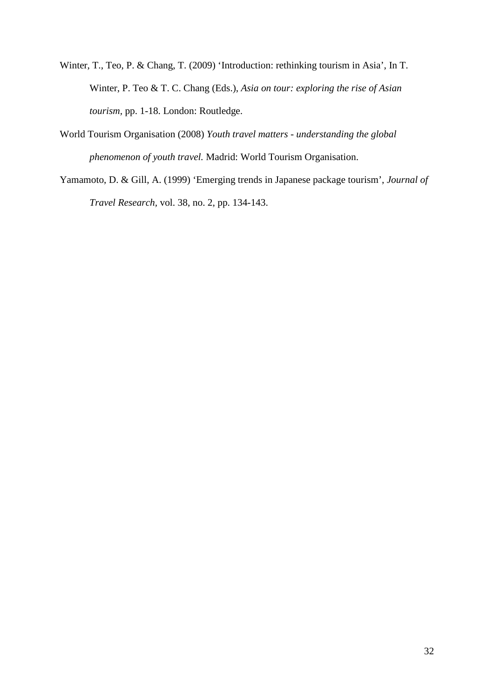- Winter, T., Teo, P. & Chang, T. (2009) 'Introduction: rethinking tourism in Asia', In T. Winter, P. Teo & T. C. Chang (Eds.), *Asia on tour: exploring the rise of Asian tourism,* pp. 1-18. London: Routledge.
- World Tourism Organisation (2008) *Youth travel matters - understanding the global phenomenon of youth travel.* Madrid: World Tourism Organisation.
- Yamamoto, D. & Gill, A. (1999) 'Emerging trends in Japanese package tourism', *Journal of Travel Research,* vol. 38, no. 2, pp. 134-143.